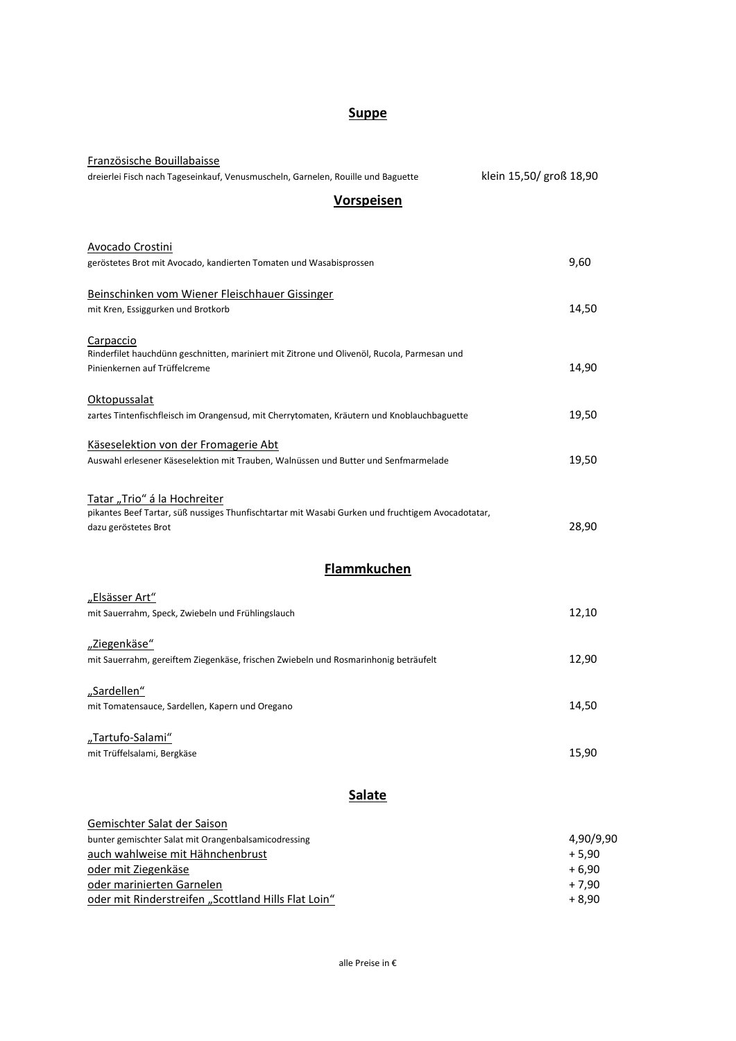## **Suppe**

| Französische Bouillabaisse                                                                                                        |                         |  |
|-----------------------------------------------------------------------------------------------------------------------------------|-------------------------|--|
| dreierlei Fisch nach Tageseinkauf, Venusmuscheln, Garnelen, Rouille und Baguette                                                  | klein 15,50/ groß 18,90 |  |
| <b>Vorspeisen</b>                                                                                                                 |                         |  |
|                                                                                                                                   |                         |  |
| <b>Avocado Crostini</b>                                                                                                           |                         |  |
| geröstetes Brot mit Avocado, kandierten Tomaten und Wasabisprossen                                                                | 9,60                    |  |
|                                                                                                                                   |                         |  |
| Beinschinken vom Wiener Fleischhauer Gissinger                                                                                    |                         |  |
| mit Kren, Essiggurken und Brotkorb                                                                                                | 14,50                   |  |
| Carpaccio                                                                                                                         |                         |  |
| Rinderfilet hauchdünn geschnitten, mariniert mit Zitrone und Olivenöl, Rucola, Parmesan und                                       |                         |  |
| Pinienkernen auf Trüffelcreme                                                                                                     | 14,90                   |  |
| Oktopussalat                                                                                                                      |                         |  |
| zartes Tintenfischfleisch im Orangensud, mit Cherrytomaten, Kräutern und Knoblauchbaguette                                        | 19,50                   |  |
|                                                                                                                                   |                         |  |
| Käseselektion von der Fromagerie Abt                                                                                              |                         |  |
| Auswahl erlesener Käseselektion mit Trauben, Walnüssen und Butter und Senfmarmelade                                               | 19,50                   |  |
|                                                                                                                                   |                         |  |
| Tatar "Trio" á la Hochreiter<br>pikantes Beef Tartar, süß nussiges Thunfischtartar mit Wasabi Gurken und fruchtigem Avocadotatar, |                         |  |
| dazu geröstetes Brot                                                                                                              | 28,90                   |  |
|                                                                                                                                   |                         |  |
| <b>Flammkuchen</b>                                                                                                                |                         |  |
| "Elsässer Art"                                                                                                                    |                         |  |
| mit Sauerrahm, Speck, Zwiebeln und Frühlingslauch                                                                                 | 12,10                   |  |
|                                                                                                                                   |                         |  |
| "Ziegenkäse"                                                                                                                      |                         |  |
| mit Sauerrahm, gereiftem Ziegenkäse, frischen Zwiebeln und Rosmarinhonig beträufelt                                               | 12,90                   |  |
| "Sardellen"                                                                                                                       |                         |  |
| mit Tomatensauce, Sardellen, Kapern und Oregano                                                                                   | 14,50                   |  |
|                                                                                                                                   |                         |  |
| "Tartufo-Salami"                                                                                                                  |                         |  |
| mit Trüffelsalami, Bergkäse                                                                                                       | 15,90                   |  |
|                                                                                                                                   |                         |  |
| <b>Salate</b>                                                                                                                     |                         |  |
| Gemischter Salat der Saison                                                                                                       |                         |  |
| bunter gemischter Salat mit Orangenbalsamicodressing                                                                              | 4,90/9,90               |  |
| auch wahlweise mit Hähnchenbrust                                                                                                  | $+5,90$                 |  |
| oder mit Ziegenkäse<br>oder marinierten Garnelen                                                                                  | $+6,90$<br>$+7,90$      |  |
| oder mit Rinderstreifen "Scottland Hills Flat Loin"                                                                               | $+8,90$                 |  |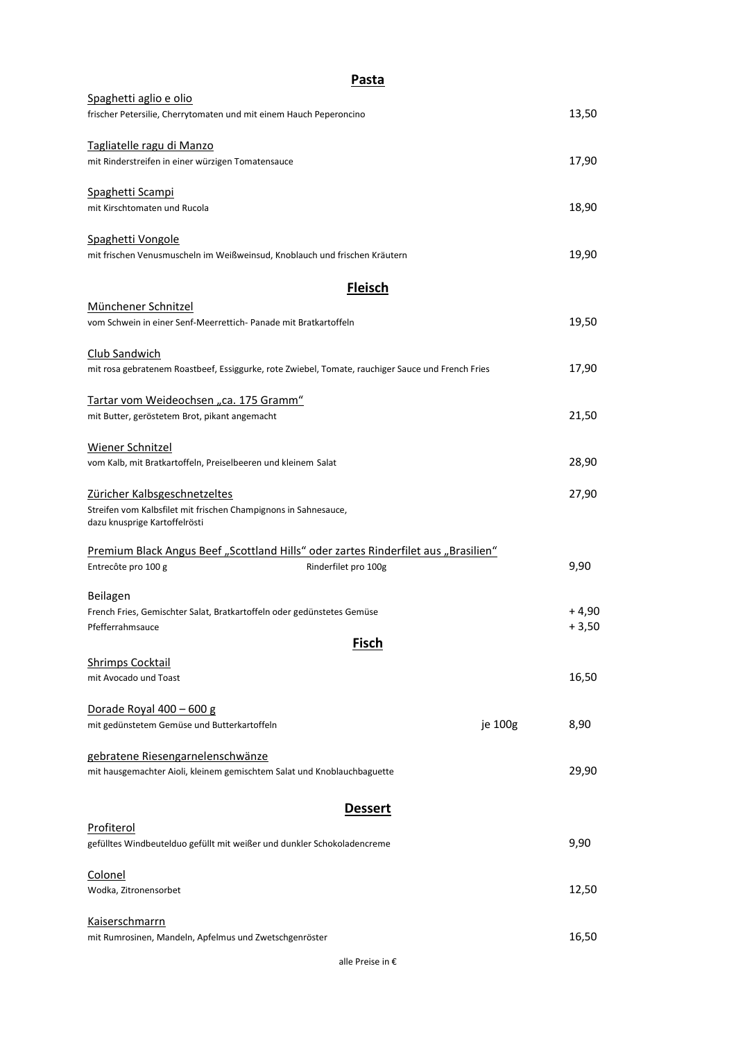| <b>Pasta</b>                                                                                      |         |         |
|---------------------------------------------------------------------------------------------------|---------|---------|
| Spaghetti aglio e olio                                                                            |         |         |
| frischer Petersilie, Cherrytomaten und mit einem Hauch Peperoncino                                |         | 13,50   |
| Tagliatelle ragu di Manzo                                                                         |         |         |
| mit Rinderstreifen in einer würzigen Tomatensauce                                                 |         | 17,90   |
| Spaghetti Scampi                                                                                  |         |         |
| mit Kirschtomaten und Rucola                                                                      |         | 18,90   |
| Spaghetti Vongole                                                                                 |         |         |
| mit frischen Venusmuscheln im Weißweinsud, Knoblauch und frischen Kräutern                        |         | 19,90   |
| <b>Fleisch</b>                                                                                    |         |         |
| Münchener Schnitzel                                                                               |         |         |
| vom Schwein in einer Senf-Meerrettich- Panade mit Bratkartoffeln                                  |         | 19,50   |
| Club Sandwich                                                                                     |         |         |
| mit rosa gebratenem Roastbeef, Essiggurke, rote Zwiebel, Tomate, rauchiger Sauce und French Fries |         | 17,90   |
| Tartar vom Weideochsen "ca. 175 Gramm"                                                            |         |         |
| mit Butter, geröstetem Brot, pikant angemacht                                                     |         | 21,50   |
| Wiener Schnitzel                                                                                  |         |         |
| vom Kalb, mit Bratkartoffeln, Preiselbeeren und kleinem Salat                                     |         | 28,90   |
| Züricher Kalbsgeschnetzeltes                                                                      |         | 27,90   |
| Streifen vom Kalbsfilet mit frischen Champignons in Sahnesauce,<br>dazu knusprige Kartoffelrösti  |         |         |
| Premium Black Angus Beef "Scottland Hills" oder zartes Rinderfilet aus "Brasilien"                |         |         |
| Entrecôte pro 100 g<br>Rinderfilet pro 100g                                                       |         | 9,90    |
| Beilagen                                                                                          |         |         |
| French Fries, Gemischter Salat, Bratkartoffeln oder gedünstetes Gemüse                            |         | $+4,90$ |
| Pfefferrahmsauce<br><b>Fisch</b>                                                                  |         | $+3,50$ |
| <b>Shrimps Cocktail</b>                                                                           |         |         |
| mit Avocado und Toast                                                                             |         | 16,50   |
|                                                                                                   |         |         |
| Dorade Royal 400 - 600 g                                                                          |         |         |
| mit gedünstetem Gemüse und Butterkartoffeln                                                       | je 100g | 8,90    |
| gebratene Riesengarnelenschwänze                                                                  |         |         |
| mit hausgemachter Aioli, kleinem gemischtem Salat und Knoblauchbaguette                           |         | 29,90   |
| <u>Dessert</u>                                                                                    |         |         |
| Profiterol                                                                                        |         |         |
| gefülltes Windbeutelduo gefüllt mit weißer und dunkler Schokoladencreme                           |         | 9,90    |
| Colonel                                                                                           |         |         |
| Wodka, Zitronensorbet                                                                             |         | 12,50   |
| <b>Kaiserschmarrn</b>                                                                             |         |         |
| mit Rumrosinen, Mandeln, Apfelmus und Zwetschgenröster                                            |         | 16,50   |

alle Preise in €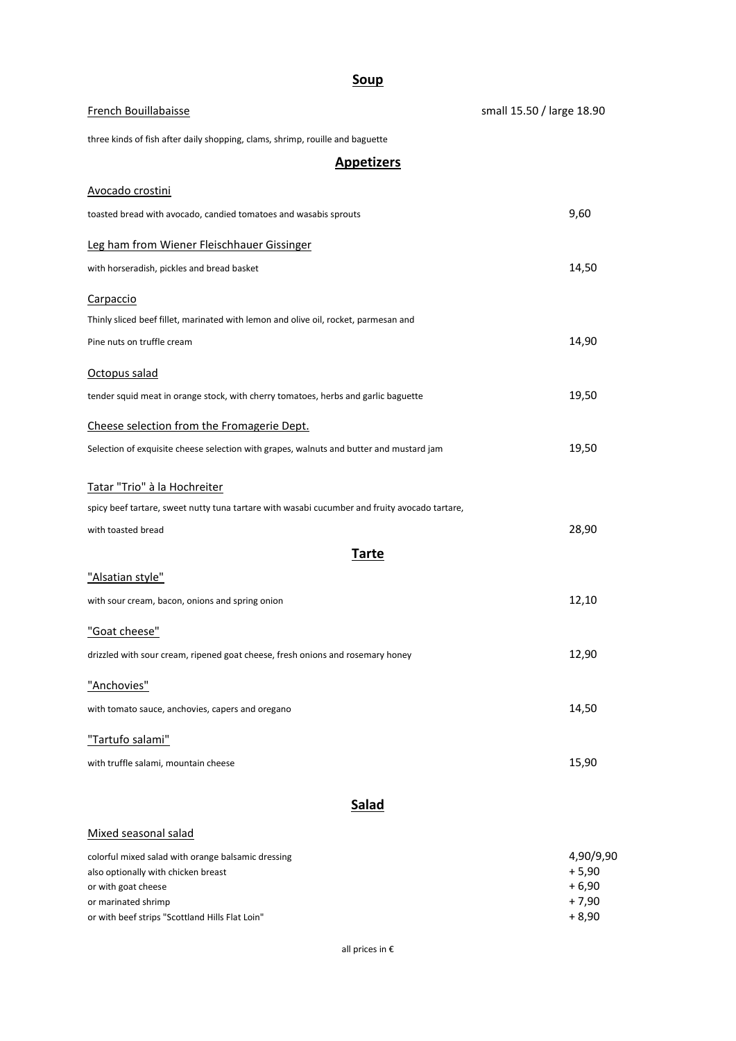## **Soup**

| French Bouillabaisse                                                                          | small 15.50 / large 18.90 |  |
|-----------------------------------------------------------------------------------------------|---------------------------|--|
| three kinds of fish after daily shopping, clams, shrimp, rouille and baguette                 |                           |  |
| <b>Appetizers</b>                                                                             |                           |  |
| Avocado crostini                                                                              |                           |  |
| toasted bread with avocado, candied tomatoes and wasabis sprouts                              | 9,60                      |  |
| Leg ham from Wiener Fleischhauer Gissinger                                                    |                           |  |
| with horseradish, pickles and bread basket                                                    | 14,50                     |  |
| Carpaccio                                                                                     |                           |  |
| Thinly sliced beef fillet, marinated with lemon and olive oil, rocket, parmesan and           |                           |  |
| Pine nuts on truffle cream                                                                    | 14,90                     |  |
| Octopus salad                                                                                 |                           |  |
| tender squid meat in orange stock, with cherry tomatoes, herbs and garlic baguette            | 19,50                     |  |
| Cheese selection from the Fromagerie Dept.                                                    |                           |  |
| Selection of exquisite cheese selection with grapes, walnuts and butter and mustard jam       | 19,50                     |  |
| Tatar "Trio" à la Hochreiter                                                                  |                           |  |
| spicy beef tartare, sweet nutty tuna tartare with wasabi cucumber and fruity avocado tartare, |                           |  |
| with toasted bread                                                                            | 28,90                     |  |
| <u>Tarte</u>                                                                                  |                           |  |
| "Alsatian style"                                                                              |                           |  |
| with sour cream, bacon, onions and spring onion                                               | 12,10                     |  |
| "Goat cheese"                                                                                 |                           |  |
| drizzled with sour cream, ripened goat cheese, fresh onions and rosemary honey                | 12,90                     |  |
| "Anchovies"                                                                                   |                           |  |
| with tomato sauce, anchovies, capers and oregano                                              | 14,50                     |  |
| "Tartufo salami"                                                                              |                           |  |
| with truffle salami, mountain cheese                                                          | 15,90                     |  |
| <b>Salad</b>                                                                                  |                           |  |
| Mixed seasonal salad                                                                          |                           |  |
| colorful mixed salad with orange balsamic dressing<br>also optionally with chicken breast     | 4,90/9,90<br>$+5,90$      |  |

| also optionally with chicken breast             | $+5.90$ |
|-------------------------------------------------|---------|
| or with goat cheese                             | $+6.90$ |
| or marinated shrimp                             | + 7.90  |
| or with beef strips "Scottland Hills Flat Loin" | + 8.90  |